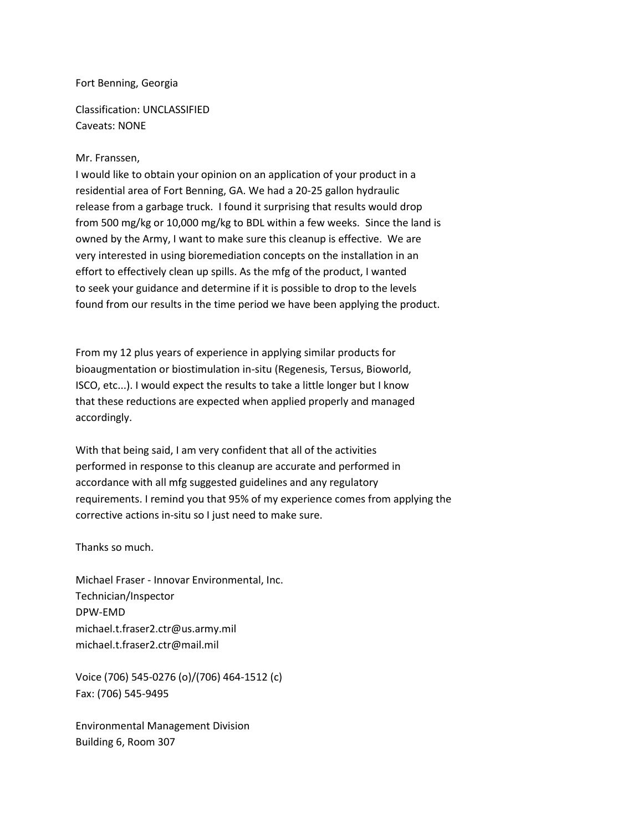## Fort Benning, Georgia

Classification: UNCLASSIFIED Caveats: NONE

## Mr. Franssen,

I would like to obtain your opinion on an application of your product in a residential area of Fort Benning, GA. We had a 20-25 gallon hydraulic release from a garbage truck. I found it surprising that results would drop from 500 mg/kg or 10,000 mg/kg to BDL within a few weeks. Since the land is owned by the Army, I want to make sure this cleanup is effective. We are very interested in using bioremediation concepts on the installation in an effort to effectively clean up spills. As the mfg of the product, I wanted to seek your guidance and determine if it is possible to drop to the levels found from our results in the time period we have been applying the product.

From my 12 plus years of experience in applying similar products for bioaugmentation or biostimulation in-situ (Regenesis, Tersus, Bioworld, ISCO, etc...). I would expect the results to take a little longer but I know that these reductions are expected when applied properly and managed accordingly.

With that being said, I am very confident that all of the activities performed in response to this cleanup are accurate and performed in accordance with all mfg suggested guidelines and any regulatory requirements. I remind you that 95% of my experience comes from applying the corrective actions in-situ so I just need to make sure.

Thanks so much.

Michael Fraser - Innovar Environmental, Inc. Technician/Inspector DPW-EMD michael.t.fraser2.ctr@us.army.mil michael.t.fraser2.ctr@mail.mil

Voice (706) 545-0276 (o)/(706) 464-1512 (c) Fax: (706) 545-9495

Environmental Management Division Building 6, Room 307